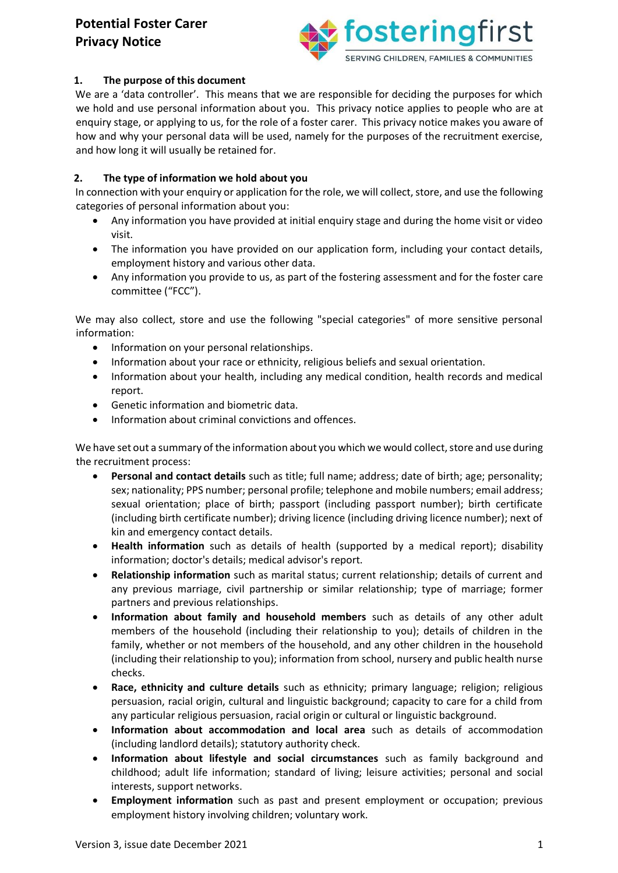

## **1. The purpose of this document**

We are a 'data controller'. This means that we are responsible for deciding the purposes for which we hold and use personal information about you. This privacy notice applies to people who are at enquiry stage, or applying to us, for the role of a foster carer. This privacy notice makes you aware of how and why your personal data will be used, namely for the purposes of the recruitment exercise, and how long it will usually be retained for.

### **2. The type of information we hold about you**

In connection with your enquiry or application for the role, we will collect, store, and use the following categories of personal information about you:

- Any information you have provided at initial enquiry stage and during the home visit or video visit.
- The information you have provided on our application form, including your contact details, employment history and various other data.
- Any information you provide to us, as part of the fostering assessment and for the foster care committee ("FCC").

We may also collect, store and use the following "special categories" of more sensitive personal information:

- Information on your personal relationships.
- Information about your race or ethnicity, religious beliefs and sexual orientation.
- Information about your health, including any medical condition, health records and medical report.
- Genetic information and biometric data.
- Information about criminal convictions and offences.

We have set out a summary of the information about you which we would collect, store and use during the recruitment process:

- **Personal and contact details** such as title; full name; address; date of birth; age; personality; sex; nationality; PPS number; personal profile; telephone and mobile numbers; email address; sexual orientation; place of birth; passport (including passport number); birth certificate (including birth certificate number); driving licence (including driving licence number); next of kin and emergency contact details.
- **Health information** such as details of health (supported by a medical report); disability information; doctor's details; medical advisor's report.
- **Relationship information** such as marital status; current relationship; details of current and any previous marriage, civil partnership or similar relationship; type of marriage; former partners and previous relationships.
- **Information about family and household members** such as details of any other adult members of the household (including their relationship to you); details of children in the family, whether or not members of the household, and any other children in the household (including their relationship to you); information from school, nursery and public health nurse checks.
- **Race, ethnicity and culture details** such as ethnicity; primary language; religion; religious persuasion, racial origin, cultural and linguistic background; capacity to care for a child from any particular religious persuasion, racial origin or cultural or linguistic background.
- **Information about accommodation and local area** such as details of accommodation (including landlord details); statutory authority check.
- **Information about lifestyle and social circumstances** such as family background and childhood; adult life information; standard of living; leisure activities; personal and social interests, support networks.
- **Employment information** such as past and present employment or occupation; previous employment history involving children; voluntary work.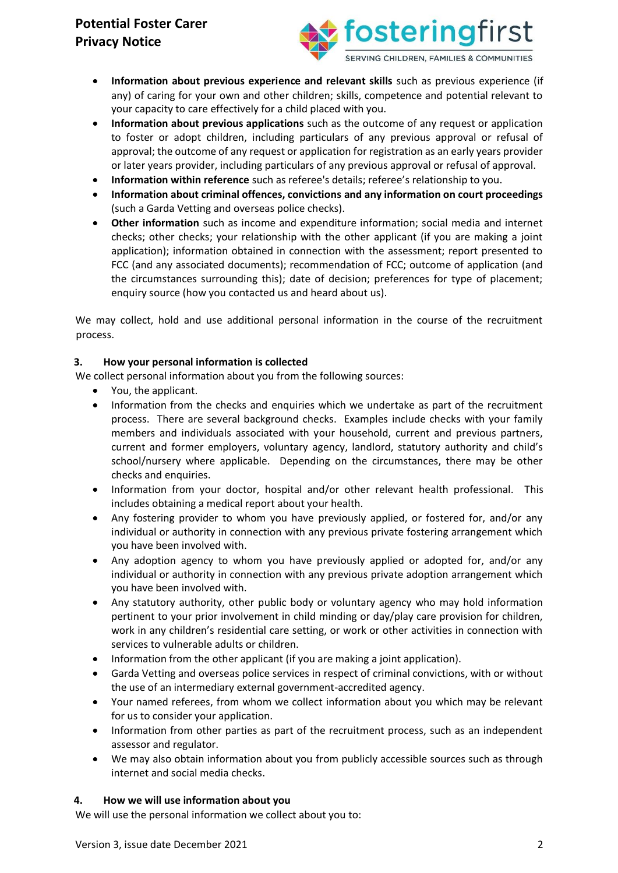

- **Information about previous experience and relevant skills** such as previous experience (if any) of caring for your own and other children; skills, competence and potential relevant to your capacity to care effectively for a child placed with you.
- **Information about previous applications** such as the outcome of any request or application to foster or adopt children, including particulars of any previous approval or refusal of approval; the outcome of any request or application for registration as an early years provider or later years provider, including particulars of any previous approval or refusal of approval.
- **Information within reference** such as referee's details; referee's relationship to you.
- **Information about criminal offences, convictions and any information on court proceedings** (such a Garda Vetting and overseas police checks).
- **Other information** such as income and expenditure information; social media and internet checks; other checks; your relationship with the other applicant (if you are making a joint application); information obtained in connection with the assessment; report presented to FCC (and any associated documents); recommendation of FCC; outcome of application (and the circumstances surrounding this); date of decision; preferences for type of placement; enquiry source (how you contacted us and heard about us).

We may collect, hold and use additional personal information in the course of the recruitment process.

## **3. How your personal information is collected**

We collect personal information about you from the following sources:

- You, the applicant.
- Information from the checks and enquiries which we undertake as part of the recruitment process. There are several background checks. Examples include checks with your family members and individuals associated with your household, current and previous partners, current and former employers, voluntary agency, landlord, statutory authority and child's school/nursery where applicable. Depending on the circumstances, there may be other checks and enquiries.
- Information from your doctor, hospital and/or other relevant health professional. This includes obtaining a medical report about your health.
- Any fostering provider to whom you have previously applied, or fostered for, and/or any individual or authority in connection with any previous private fostering arrangement which you have been involved with.
- Any adoption agency to whom you have previously applied or adopted for, and/or any individual or authority in connection with any previous private adoption arrangement which you have been involved with.
- Any statutory authority, other public body or voluntary agency who may hold information pertinent to your prior involvement in child minding or day/play care provision for children, work in any children's residential care setting, or work or other activities in connection with services to vulnerable adults or children.
- Information from the other applicant (if you are making a joint application).
- Garda Vetting and overseas police services in respect of criminal convictions, with or without the use of an intermediary external government-accredited agency.
- Your named referees, from whom we collect information about you which may be relevant for us to consider your application.
- Information from other parties as part of the recruitment process, such as an independent assessor and regulator.
- We may also obtain information about you from publicly accessible sources such as through internet and social media checks.

### **4. How we will use information about you**

We will use the personal information we collect about you to: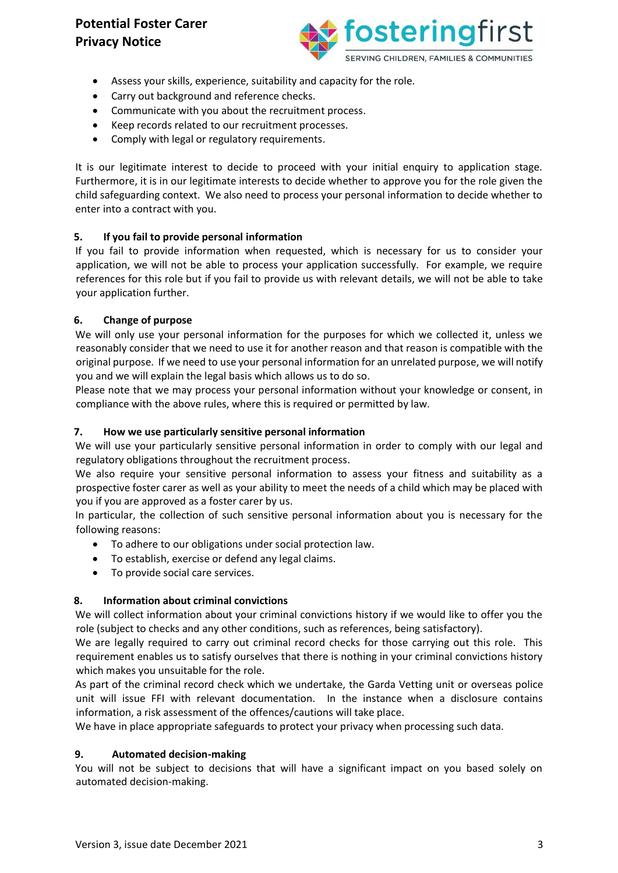

- Assess your skills, experience, suitability and capacity for the role.
- Carry out background and reference checks.
- Communicate with you about the recruitment process.
- Keep records related to our recruitment processes.
- Comply with legal or regulatory requirements.

It is our legitimate interest to decide to proceed with your initial enquiry to application stage. Furthermore, it is in our legitimate interests to decide whether to approve you for the role given the child safeguarding context. We also need to process your personal information to decide whether to enter into a contract with you.

## **5. If you fail to provide personal information**

If you fail to provide information when requested, which is necessary for us to consider your application, we will not be able to process your application successfully. For example, we require references for this role but if you fail to provide us with relevant details, we will not be able to take your application further.

### **6. Change of purpose**

We will only use your personal information for the purposes for which we collected it, unless we reasonably consider that we need to use it for another reason and that reason is compatible with the original purpose. If we need to use your personal information for an unrelated purpose, we will notify you and we will explain the legal basis which allows us to do so.

Please note that we may process your personal information without your knowledge or consent, in compliance with the above rules, where this is required or permitted by law.

## **7. How we use particularly sensitive personal information**

We will use your particularly sensitive personal information in order to comply with our legal and regulatory obligations throughout the recruitment process.

We also require your sensitive personal information to assess your fitness and suitability as a prospective foster carer as well as your ability to meet the needs of a child which may be placed with you if you are approved as a foster carer by us.

In particular, the collection of such sensitive personal information about you is necessary for the following reasons:

- To adhere to our obligations under social protection law.
- To establish, exercise or defend any legal claims.
- To provide social care services.

### **8. Information about criminal convictions**

We will collect information about your criminal convictions history if we would like to offer you the role (subject to checks and any other conditions, such as references, being satisfactory).

We are legally required to carry out criminal record checks for those carrying out this role. This requirement enables us to satisfy ourselves that there is nothing in your criminal convictions history which makes you unsuitable for the role.

As part of the criminal record check which we undertake, the Garda Vetting unit or overseas police unit will issue FFI with relevant documentation. In the instance when a disclosure contains information, a risk assessment of the offences/cautions will take place.

We have in place appropriate safeguards to protect your privacy when processing such data.

### **9. Automated decision-making**

You will not be subject to decisions that will have a significant impact on you based solely on automated decision-making.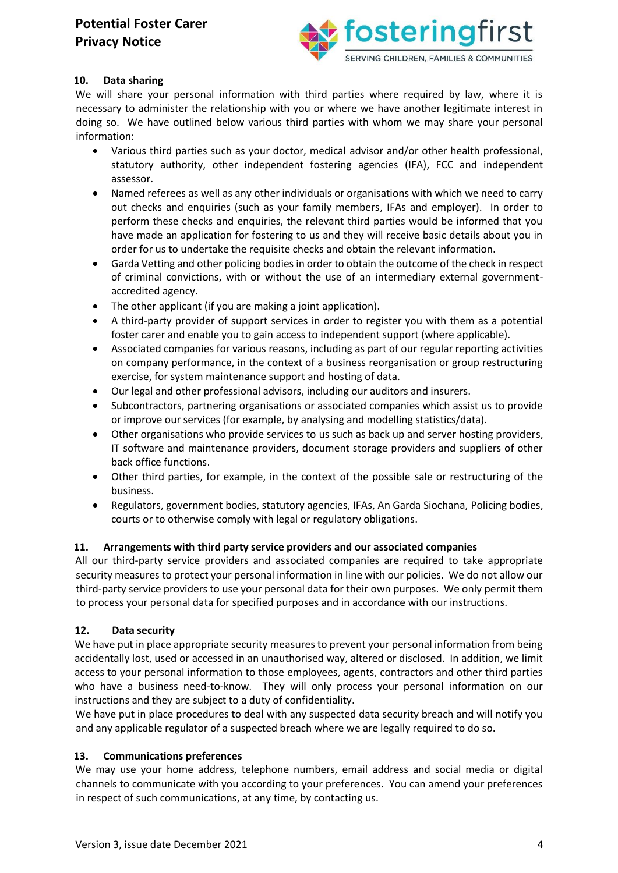

## **10. Data sharing**

We will share your personal information with third parties where required by law, where it is necessary to administer the relationship with you or where we have another legitimate interest in doing so. We have outlined below various third parties with whom we may share your personal information:

- Various third parties such as your doctor, medical advisor and/or other health professional, statutory authority, other independent fostering agencies (IFA), FCC and independent assessor.
- Named referees as well as any other individuals or organisations with which we need to carry out checks and enquiries (such as your family members, IFAs and employer). In order to perform these checks and enquiries, the relevant third parties would be informed that you have made an application for fostering to us and they will receive basic details about you in order for us to undertake the requisite checks and obtain the relevant information.
- Garda Vetting and other policing bodies in order to obtain the outcome of the check in respect of criminal convictions, with or without the use of an intermediary external governmentaccredited agency.
- The other applicant (if you are making a joint application).
- A third-party provider of support services in order to register you with them as a potential foster carer and enable you to gain access to independent support (where applicable).
- Associated companies for various reasons, including as part of our regular reporting activities on company performance, in the context of a business reorganisation or group restructuring exercise, for system maintenance support and hosting of data.
- Our legal and other professional advisors, including our auditors and insurers.
- Subcontractors, partnering organisations or associated companies which assist us to provide or improve our services (for example, by analysing and modelling statistics/data).
- Other organisations who provide services to us such as back up and server hosting providers, IT software and maintenance providers, document storage providers and suppliers of other back office functions.
- Other third parties, for example, in the context of the possible sale or restructuring of the business.
- Regulators, government bodies, statutory agencies, IFAs, An Garda Siochana, Policing bodies, courts or to otherwise comply with legal or regulatory obligations.

## **11. Arrangements with third party service providers and our associated companies**

All our third-party service providers and associated companies are required to take appropriate security measures to protect your personal information in line with our policies. We do not allow our third-party service providers to use your personal data for their own purposes. We only permit them to process your personal data for specified purposes and in accordance with our instructions.

### **12. Data security**

We have put in place appropriate security measures to prevent your personal information from being accidentally lost, used or accessed in an unauthorised way, altered or disclosed. In addition, we limit access to your personal information to those employees, agents, contractors and other third parties who have a business need-to-know. They will only process your personal information on our instructions and they are subject to a duty of confidentiality.

We have put in place procedures to deal with any suspected data security breach and will notify you and any applicable regulator of a suspected breach where we are legally required to do so.

### **13. Communications preferences**

We may use your home address, telephone numbers, email address and social media or digital channels to communicate with you according to your preferences. You can amend your preferences in respect of such communications, at any time, by contacting us.